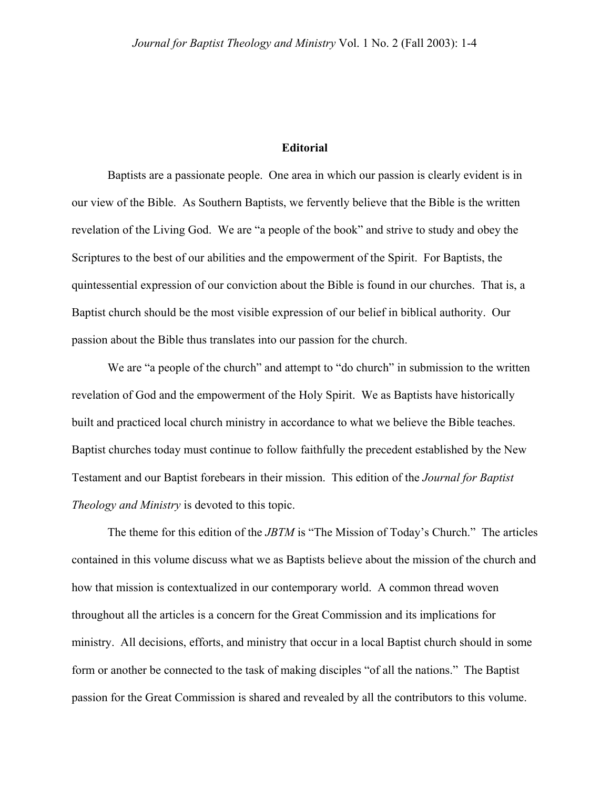## **Editorial**

Baptists are a passionate people. One area in which our passion is clearly evident is in our view of the Bible. As Southern Baptists, we fervently believe that the Bible is the written revelation of the Living God. We are "a people of the book" and strive to study and obey the Scriptures to the best of our abilities and the empowerment of the Spirit. For Baptists, the quintessential expression of our conviction about the Bible is found in our churches. That is, a Baptist church should be the most visible expression of our belief in biblical authority. Our passion about the Bible thus translates into our passion for the church.

We are "a people of the church" and attempt to "do church" in submission to the written revelation of God and the empowerment of the Holy Spirit. We as Baptists have historically built and practiced local church ministry in accordance to what we believe the Bible teaches. Baptist churches today must continue to follow faithfully the precedent established by the New Testament and our Baptist forebears in their mission. This edition of the *Journal for Baptist Theology and Ministry* is devoted to this topic.

The theme for this edition of the *JBTM* is "The Mission of Today's Church." The articles contained in this volume discuss what we as Baptists believe about the mission of the church and how that mission is contextualized in our contemporary world. A common thread woven throughout all the articles is a concern for the Great Commission and its implications for ministry. All decisions, efforts, and ministry that occur in a local Baptist church should in some form or another be connected to the task of making disciples "of all the nations." The Baptist passion for the Great Commission is shared and revealed by all the contributors to this volume.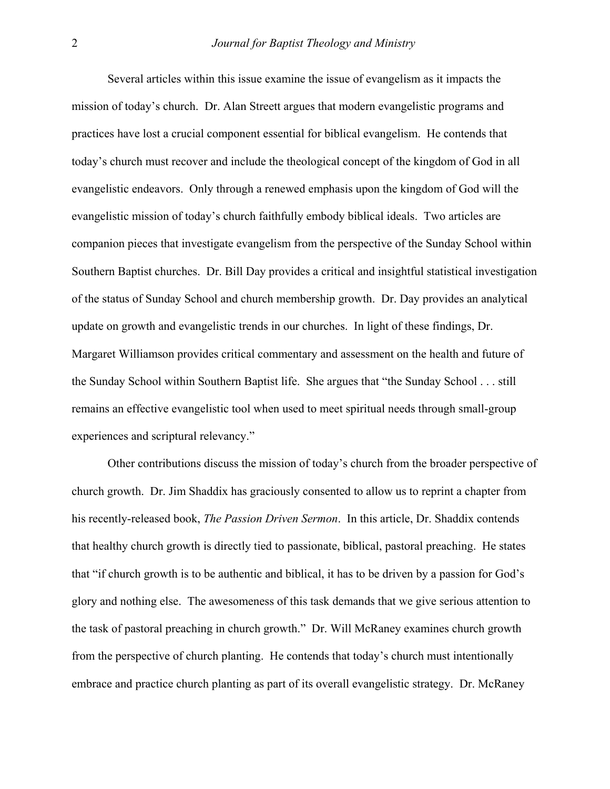Several articles within this issue examine the issue of evangelism as it impacts the mission of today's church. Dr. Alan Streett argues that modern evangelistic programs and practices have lost a crucial component essential for biblical evangelism. He contends that today's church must recover and include the theological concept of the kingdom of God in all evangelistic endeavors. Only through a renewed emphasis upon the kingdom of God will the evangelistic mission of today's church faithfully embody biblical ideals. Two articles are companion pieces that investigate evangelism from the perspective of the Sunday School within Southern Baptist churches. Dr. Bill Day provides a critical and insightful statistical investigation of the status of Sunday School and church membership growth. Dr. Day provides an analytical update on growth and evangelistic trends in our churches. In light of these findings, Dr. Margaret Williamson provides critical commentary and assessment on the health and future of the Sunday School within Southern Baptist life. She argues that "the Sunday School . . . still remains an effective evangelistic tool when used to meet spiritual needs through small-group experiences and scriptural relevancy."

Other contributions discuss the mission of today's church from the broader perspective of church growth. Dr. Jim Shaddix has graciously consented to allow us to reprint a chapter from his recently-released book, *The Passion Driven Sermon*. In this article, Dr. Shaddix contends that healthy church growth is directly tied to passionate, biblical, pastoral preaching. He states that "if church growth is to be authentic and biblical, it has to be driven by a passion for God's glory and nothing else. The awesomeness of this task demands that we give serious attention to the task of pastoral preaching in church growth." Dr. Will McRaney examines church growth from the perspective of church planting. He contends that today's church must intentionally embrace and practice church planting as part of its overall evangelistic strategy. Dr. McRaney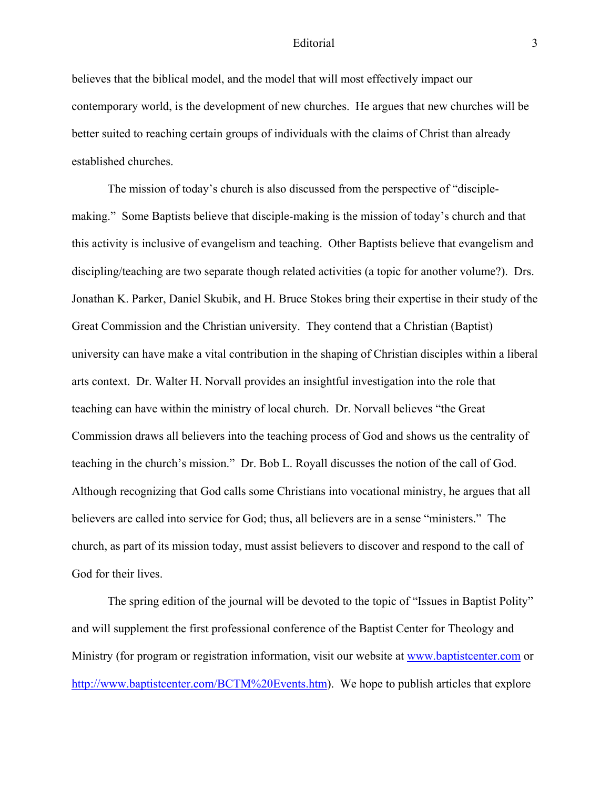## Editorial 3

believes that the biblical model, and the model that will most effectively impact our contemporary world, is the development of new churches. He argues that new churches will be better suited to reaching certain groups of individuals with the claims of Christ than already established churches.

The mission of today's church is also discussed from the perspective of "disciplemaking." Some Baptists believe that disciple-making is the mission of today's church and that this activity is inclusive of evangelism and teaching. Other Baptists believe that evangelism and discipling/teaching are two separate though related activities (a topic for another volume?). Drs. Jonathan K. Parker, Daniel Skubik, and H. Bruce Stokes bring their expertise in their study of the Great Commission and the Christian university. They contend that a Christian (Baptist) university can have make a vital contribution in the shaping of Christian disciples within a liberal arts context. Dr. Walter H. Norvall provides an insightful investigation into the role that teaching can have within the ministry of local church. Dr. Norvall believes "the Great Commission draws all believers into the teaching process of God and shows us the centrality of teaching in the church's mission." Dr. Bob L. Royall discusses the notion of the call of God. Although recognizing that God calls some Christians into vocational ministry, he argues that all believers are called into service for God; thus, all believers are in a sense "ministers." The church, as part of its mission today, must assist believers to discover and respond to the call of God for their lives.

The spring edition of the journal will be devoted to the topic of "Issues in Baptist Polity" and will supplement the first professional conference of the Baptist Center for Theology and Ministry (for program or registration information, visit our website at [www.baptistcenter.com](http://www.baptistcenter.com/) or [http://www.baptistcenter.com/BCTM%20Events.htm\)](http://www.baptistcenter.com/BCTM Events.htm). We hope to publish articles that explore